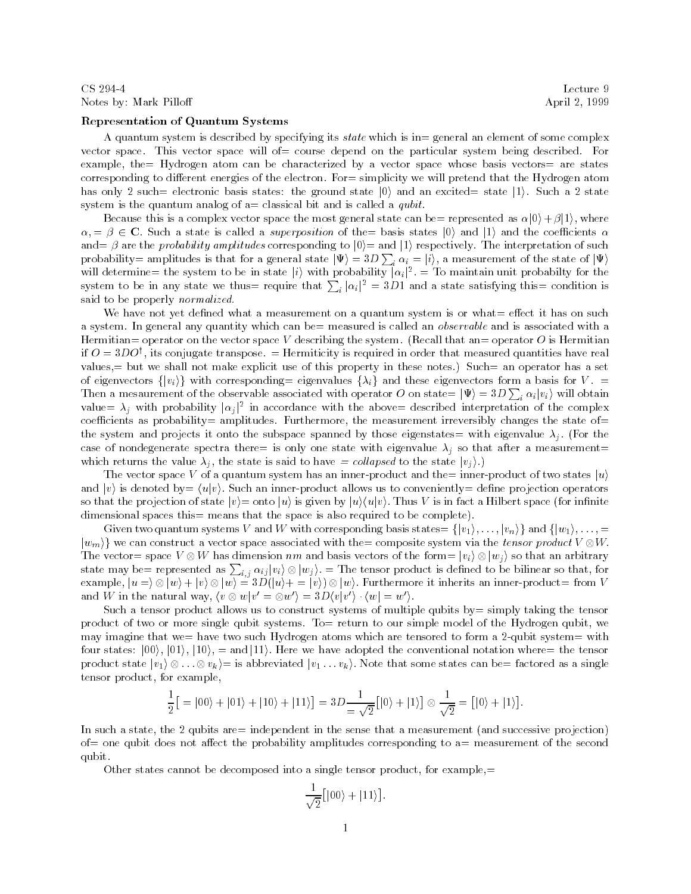## Notes by: Mark Pilloff **April 2, 1999**

## Representation of Quantum Systems

A quantum system is described by specifying its state which is in= general an element of some complex vector space. This vector space will of= course depend on the particular system being described. For example, the  $Hydrogen$  atom can be characterized by a vector space whose basis vectors are states corresponding to different energies of the electron. For= simplicity we will pretend that the Hydrogen atom has only 2 such= electronic basis states: the ground state  $|0\rangle$  and an excited= state  $|1\rangle$ . Such a 2 state system is the quantum analog of  $a=$  classical bit and is called a *qubit*.

Because this is a complex vector space the most general state can be presented as  $\alpha|0\rangle + \beta|1\rangle$ , where  $\alpha = \beta \in \mathbb{C}$ . Such a state is called a *superposition* of the basis states  $|0\rangle$  and  $|1\rangle$  and the coefficients  $\alpha$ and  $\beta$  are the *probability amplitudes* corresponding to  $|0\rangle$  and  $|1\rangle$  respectively. The interpretation of such probability= amplitudes is that for a general state  $|\Psi\rangle = 3D \sum_i \alpha_i = |i\rangle$ , a measurement of the state of  $|\Psi\rangle$ will determine= the system to be in state  $|i\rangle$  with probability  $|\alpha_i|^2$ . = To maintain unit probabilty for the system to be in any state we thus require that  $\sum_i |\alpha_i|^2 = 3D1$  and a state satisfying this condition is said to be properly normalized.

We have not yet defined what a measurement on a quantum system is or what $=$  effect it has on such a system. In general any quantity which can be= measured is called an *observable* and is associated with a Hermitian= operator on the vector space V describing the system. (Recall that an= operator O is Hermitian  $\mu$   $\mu$   $\equiv$   $\mu$ DO), its conjugate transpose.  $\equiv$  Hermiticity is required in order that measured quantities have real values,= but we shall not make explicit use of this property in these notes.) Such= an operator has a set of eigenvectors  $\{|v_i\rangle\}$  with corresponding= eigenvalues  $\{\lambda_i\}$  and these eigenvectors form a basis for V. = Then a mesaurement of the observable associated with operator O on state=  $|\Psi\rangle = 3D \sum_i \alpha_i |v_i\rangle$  will obtain value  $\lambda_j$  with probability  $|\alpha_j|^2$  in accordance with the above described interpretation of the complex coefficients as probability= amplitudes. Furthermore, the measurement irreversibly changes the state of= the system and projects it onto the subspace spanned by those eigenstates= with eigenvalue  $\lambda_j$ . (For the case of nondegenerate spectra there= is only one state with eigenvalue  $\lambda_j$  so that after a measurement= which returns the value  $\lambda_j$ , the state is said to have  $=$  collapsed to the state  $|v_j\rangle$ .)

The vector space V of a quantum system has an inner-product and the= inner-product of two states  $|u\rangle$ and v) is denoted by  $= \langle u | v \rangle$ . Such an inner-product allows us to conveniently  $=$  define projection operators so that the projection of state  $|v\rangle = \text{onto } |u\rangle$  is given by  $|u\rangle\langle u|v\rangle$ . Thus V is in fact a Hilbert space (for infinite dimensional spaces this = means that the space is also required to be complete).

Given two quantum systems V and W with corresponding basis states  $\{[v_1), \ldots, [v_n]\}$  and  $\{[w_1), \ldots, \equiv$  $\{w_m\}$  we can construct a vector space associated with the composite system via the tensor product  $V\otimes W$ . The vector= space  $V \otimes W$  has dimension nm and basis vectors of the form=  $|v_i\rangle \otimes |w_j\rangle$  so that an arbitrary state may be= represented as  $\sum_{i,j} \alpha_{ij} |v_i\rangle \otimes |w_j\rangle$ . = The tensor product is defined to be bilinear so that, for example,  $|u= \rangle \otimes |w\rangle + |v\rangle \otimes |w\rangle = 3D(|u\rangle + = |v\rangle) \otimes |w\rangle$ . Furthermore it inherits an inner-product= from  $V$ and  $W$  in the natural way,  $\langle v \otimes w | v' = \otimes w' \rangle = 3D\langle v | v' \rangle \cdot \langle w | = w' \rangle$ .

Such a tensor product allows us to construct systems of multiple qubits by= simply taking the tensor product of two or more single qubit systems. To= return to our simple model of the Hydrogen qubit, we may imagine that we= have two such Hydrogen atoms which are tensored to form a 2-qubit system= with four states:  $|00\rangle, |01\rangle, |10\rangle, =$  and  $|11\rangle$ . Here we have adopted the conventional notation where= the tensor product state  $|v_1\rangle\otimes\ldots\otimes v_k\rangle =$  is abbreviated  $|v_1\ldots v_k\rangle$ . Note that some states can be= factored as a single tensor product, for example,

$$
\frac{1}{2} [ = |00\rangle + |01\rangle + |10\rangle + |11\rangle] = 3D \frac{1}{\sqrt{2}} [ |0\rangle + |1\rangle] \otimes \frac{1}{\sqrt{2}} = [ |0\rangle + |1\rangle].
$$

In such a state, the 2 qubits are independent in the sense that a measurement (and successive projection) of= one qubit does not affect the probability amplitudes corresponding to  $a=$  measurement of the second qubit.

Other states cannot be decomposed into a single tensor product, for example, $=$ 

$$
\frac{1}{\sqrt{2}}\big[|00\rangle + |11\rangle\big].
$$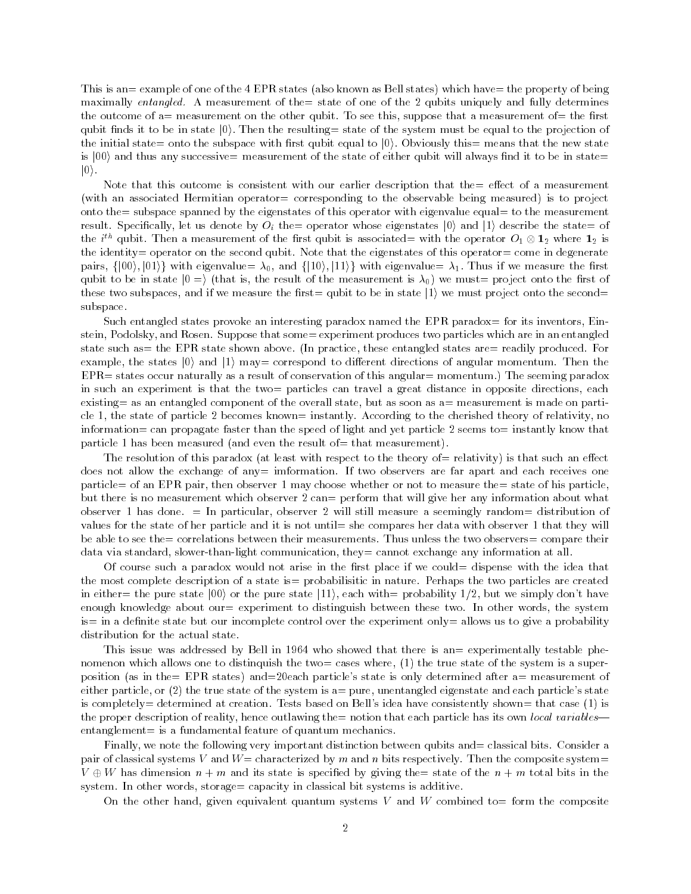This is an= example of one of the 4 EPR states (also known as Bell states) which have= the property of being maximally entangled. A measurement of the state of one of the 2 qubits uniquely and fully determines the outcome of  $a=$  measurement on the other qubit. To see this, suppose that a measurement of  $=$  the first qubit finds it to be in state  $|0\rangle$ . Then the resulting = state of the system must be equal to the projection of the initial state= onto the subspace with first qubit equal to  $|0\rangle$ . Obviously this= means that the new state is  $|00\rangle$  and thus any successive measurement of the state of either qubit will always find it to be in state  $|0\rangle$ .

Note that this outcome is consistent with our earlier description that the  $=$  effect of a measurement (with an associated Hermitian operator= corresponding to the observable being measured) is to project onto the= subspace spanned by the eigenstates of this operator with eigenvalue equal= to the measurement result. Specifically, let us denote by  $O_i$  the operator whose eigenstates  $|0\rangle$  and  $|1\rangle$  describe the state of the i<sup>'n</sup> qubit. Then a measurement of the first qubit is associated= with the operator  $O_1\otimes \mathbf{1}_2$  where  $\mathbf{1}_2$  is the identity= operator on the second qubit. Note that the eigenstates of this operator= come in degenerate pairs,  $\{|00\rangle, |01\rangle\}$  with eigenvalue  $\lambda_0$ , and  $\{|10\rangle, |11\rangle\}$  with eigenvalue  $\lambda_1$ . Thus if we measure the first qubit to be in state  $|0\rangle$  (that is, the result of the measurement is  $\lambda_0$ ) we must= project onto the first of these two subspaces, and if we measure the first= qubit to be in state  $|1\rangle$  we must project onto the second= subspace.

Such entangled states provoke an interesting paradox named the EPR paradox= for its inventors, Einstein, Podolsky, and Rosen. Suppose that some= experiment produces two particles which are in an entangled state such as the EPR state shown above. (In practice, these entangled states are readily produced. For example, the states  $|0\rangle$  and  $|1\rangle$  may= correspond to different directions of angular momentum. Then the  $EPR =$  states occur naturally as a result of conservation of this angular= momentum.) The seeming paradox in such an experiment is that the two= particles can travel a great distance in opposite directions, each existing as an entangled component of the overall state, but as soon as  $a=$  measurement is made on particle 1, the state of particle 2 becomes known= instantly. According to the cherished theory of relativity, no information= can propagate faster than the speed of light and yet particle 2 seems to= instantly know that particle 1 has been measured (and even the result of  $=$  that measurement).

The resolution of this paradox (at least with respect to the theory of= relativity) is that such an effect does not allow the exchange of any= imformation. If two observers are far apart and each receives one particle= of an EPR pair, then observer 1 may choose whether or not to measure the= state of his particle, but there is no measurement which observer 2 can= perform that will give her any information about what observer 1 has done.  $\equiv$  In particular, observer 2 will still measure a seemingly random= distribution of values for the state of her particle and it is not until= she compares her data with observer 1 that they will be able to see the= correlations between their measurements. Thus unless the two observers= compare their data via standard, slower-than-light communication, they= cannot exchange any information at all.

Of course such a paradox would not arise in the first place if we could  $=$  dispense with the idea that the most complete description of a state is  $=$  probabilisitic in nature. Perhaps the two particles are created in either= the pure state  $|00\rangle$  or the pure state  $|11\rangle$ , each with= probability 1/2, but we simply don't have enough knowledge about our= experiment to distinguish between these two. In other words, the system is= in a definite state but our incomplete control over the experiment only= allows us to give a probability distribution for the actual state.

This issue was addressed by Bell in 1964 who showed that there is an experimentally testable phenomenon which allows one to distinquish the two= cases where,  $(1)$  the true state of the system is a superposition (as in the= EPR states) and=20each particle's state is only determined after a= measurement of either particle, or  $(2)$  the true state of the system is  $a=$  pure, unentangled eigenstate and each particle's state is completely= determined at creation. Tests based on Bell's idea have consistently shown= that case (1) is the proper description of reality, hence outlawing the notion that each particle has its own local variables  $entanglement = is a fundamental feature of quantum mechanics.$ 

Finally, we note the following very important distinction between qubits and= classical bits. Consider a pair of classical systems V and  $W=$  characterized by m and n bits respectively. Then the composite system=  $V \oplus W$  has dimension  $n + m$  and its state is specified by giving the state of the  $n + m$  total bits in the system. In other words, storage= capacity in classical bit systems is additive.

On the other hand, given equivalent quantum systems V and W combined to form the composite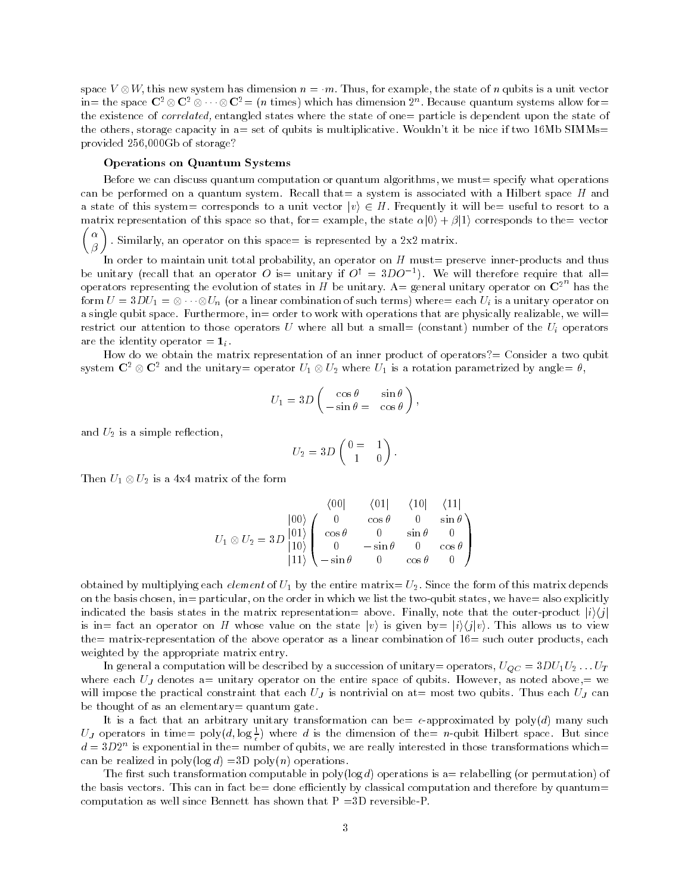space  $V\otimes W$ , this new system has dimension  $n=m$ . Thus, for example, the state of n qubits is a unit vector in= the space  $\bf C$ 2  $\otimes$  C2  $\otimes$   $\cdots$   $\otimes$   $\bf C$ 2  $=$  (n times) which has dimension  $2^n$ . Because quantum systems allow for= the existence of *correlated*, entangled states where the state of one particle is dependent upon the state of the others, storage capacity in  $a=$  set of qubits is multiplicative. Wouldn't it be nice if two 16Mb SIMMs= provided 256,000Gb of storage?

## Operations on Quantum Systems

Before we can discuss quantum computation or quantum algorithms, we must= specify what operations can be performed on a quantum system. Recall that  $=$  a system is associated with a Hilbert space H and a state of this system = corresponds to a unit vector  $|v\rangle \in H$ . Frequently it will be= useful to resort to a matrix representation of this space so that, for example, the state  $\alpha|0\rangle + \beta|1\rangle$  corresponds to the vector 

 $\begin{pmatrix} \alpha \\ \beta \end{pmatrix}$ . Similarly, an operator on this space= is represented by a 2x2 matrix.

In order to maintain unit total probability, an operator on  $H$  must= preserve inner-products and thus be unitary (recall that an operator  $O$  is= unitary if  $O^+ \equiv$   $\delta D O^{-+}$ ). We will therefore require that all= operators representing the evolution of states in H be unitary. A= general unitary operator on  $\mathbb{C}^{2^n}$  has the form  $U=3DU_1=\otimes\cdots\otimes U_n$  (or a linear combination of such terms) where= each  $U_i$  is a unitary operator on a single qubit space. Furthermore, in= order to work with operations that are physically realizable, we will= restrict our attention to those operators U where all but a small= (constant) number of the  $U_i$  operators are the identity operator  $= 1_i$ .

How do we obtain the matrix representation of an inner product of operators?= Consider a two qubit system  $\mathbf{C}^2\otimes\mathbf{C}^2$  and the unitary= operator  $U_1\otimes U_2$  where  $U_1$  is a rotation parametrized by angle=  $\theta$ ,

$$
U_1 = 3D \begin{pmatrix} \cos \theta & \sin \theta \\ -\sin \theta = & \cos \theta \end{pmatrix},
$$

and  $U_2$  is a simple reflection,

$$
U_2 = 3D \begin{pmatrix} 0 & = & 1 \\ 1 & 0 \end{pmatrix}.
$$

Then  $U_1\otimes U_2$  is a 4x4 matrix of the form

$$
U_1 \otimes U_2 = 3D \begin{bmatrix} 00 \\ 01 \\ 10 \end{bmatrix} \begin{pmatrix} 0 & 0 & 0 \\ 0 & \cos \theta & 0 \\ \cos \theta & 0 & \sin \theta & 0 \\ 0 & -\sin \theta & 0 & \cos \theta \\ 11 & -\sin \theta & 0 & \cos \theta & 0 \end{pmatrix}
$$

obtained by multiplying each *element* of  $U_1$  by the entire matrix=  $U_2$ . Since the form of this matrix depends on the basis chosen, in= particular, on the order in which we list the two-qubit states, we have= also explicitly indicated the basis states in the matrix representation= above. Finally, note that the outer-product  $|i\rangle\langle i|$ is in= fact an operator on H whose value on the state  $|v\rangle$  is given by=  $|i\rangle\langle j|v\rangle$ . This allows us to view the= matrix-representation of the above operator as a linear combination of  $16=$  such outer products, each weighted by the appropriate matrix entry.

In general a computation will be described by a succession of unitary= operators,  $U_{QC} = 3DU_1U_2...U_T$ where each  $U_J$  denotes a= unitary operator on the entire space of qubits. However, as noted above,= we will impose the practical constraint that each  $U_J$  is nontrivial on at= most two qubits. Thus each  $U_J$  can be thought of as an elementary  $=$  quantum gate.

It is a fact that an arbitrary unitary transformation can be=  $\epsilon$ -approximated by poly(d) many such UJ operators in time=  $\text{poly}(d, \log \frac{1}{\epsilon})$  where d is the dimension of the= n-qubit Hilbert space. But since  $a = 3D2^+$  is exponential in the= number of qubits, we are really interested in those transformations which= can be realized in  $poly(log d) = 3D poly(n)$  operations.

The first such transformation computable in poly(log d) operations is a= relabelling (or permutation) of the basis vectors. This can in fact be= done efficiently by classical computation and therefore by quantum= computation as well since Bennett has shown that  $P = 3D$  reversible-P.